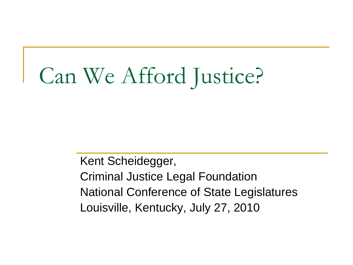# Can We Afford Justice?

Kent Scheidegger, Criminal Justice Legal Foundation National Conference of State Legislatures Louisville, Kentucky, July 27, 2010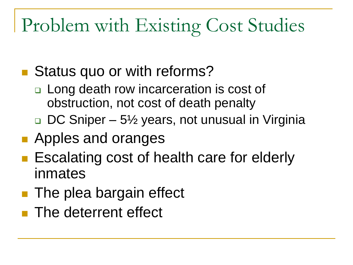# Problem with Existing Cost Studies

- Status quo or with reforms?
	- □ Long death row incarceration is cost of obstruction, not cost of death penalty
	- $\Box$  DC Sniper 5<sup>1</sup>/<sub>2</sub> years, not unusual in Virginia
- **Apples and oranges**
- **E** Escalating cost of health care for elderly inmates
- **The plea bargain effect**
- **The deterrent effect**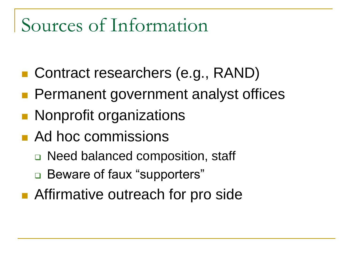### Sources of Information

- Contract researchers (e.g., RAND)
- **Permanent government analyst offices**
- **Nonprofit organizations**
- **Ad hoc commissions** 
	- □ Need balanced composition, staff
	- □ Beware of faux "supporters"
- Affirmative outreach for pro side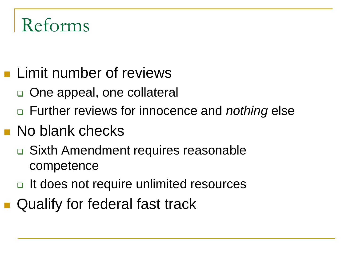### Reforms

- **Limit number of reviews** 
	- □ One appeal, one collateral
	- Further reviews for innocence and *nothing* else
- **No blank checks** 
	- **□** Sixth Amendment requires reasonable competence
	- □ It does not require unlimited resources
- Qualify for federal fast track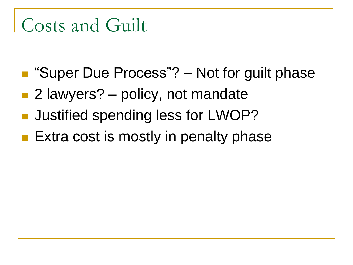# Costs and Guilt

- "Super Due Process"? Not for guilt phase
- 2 lawyers? policy, not mandate
- **Justified spending less for LWOP?**
- **Extra cost is mostly in penalty phase**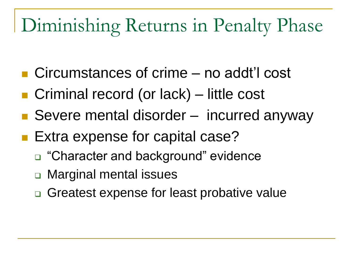### Diminishing Returns in Penalty Phase

- Circumstances of crime no addt'l cost
- Criminal record (or lack) little cost
- Severe mental disorder incurred anyway
- Extra expense for capital case?
	- □ "Character and background" evidence
	- **□ Marginal mental issues**
	- **□** Greatest expense for least probative value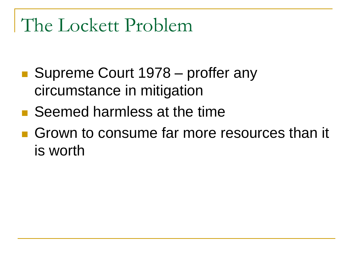#### The Lockett Problem

- Supreme Court 1978 proffer any circumstance in mitigation
- Seemed harmless at the time
- Grown to consume far more resources than it is worth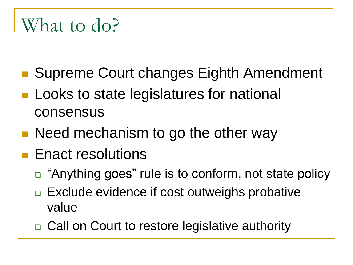### What to do?

- Supreme Court changes Eighth Amendment
- **Looks to state legislatures for national** consensus
- Need mechanism to go the other way
- **Enact resolutions** 
	- □ "Anything goes" rule is to conform, not state policy
	- □ Exclude evidence if cost outweighs probative value
	- **□ Call on Court to restore legislative authority**